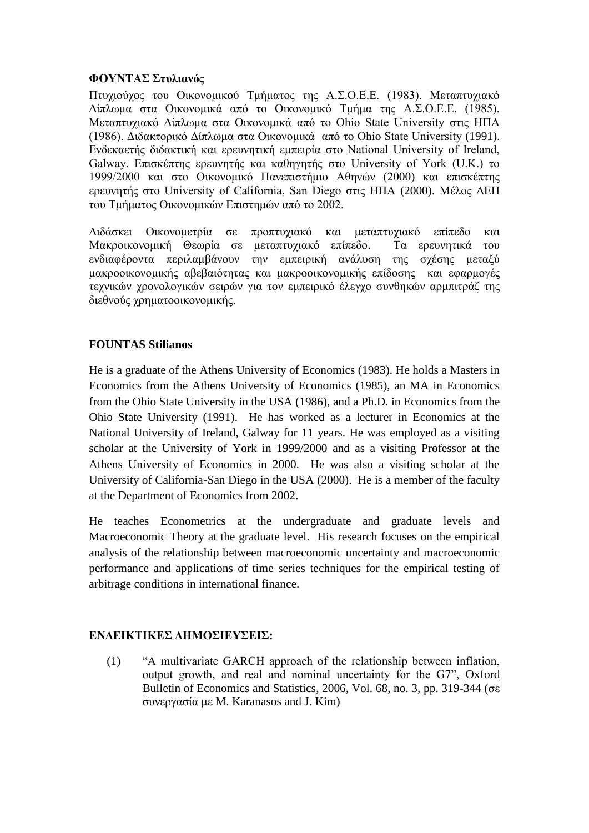## **ΦΟΥΝΤΑΣ Στυλιανός**

Πτυχιούχος του Οικονομικού Τμήματος της Α.Σ.Ο.Ε.Ε. (1983). Μεταπτυχιακό Δίπλωμα στα Οικονομικά από το Οικονομικό Τμήμα της Α.Σ.Ο.Ε.Ε. (1985). Μεταπτυχιακό Δίπλωμα στα Οικονομικά από το Ohio State University στις ΗΠΑ (1986). Διδακτορικό Δίπλωμα στα Οικονομικά από το Ohio State University (1991). Ενδεκαετής διδακτική και ερευνητική εμπειρία στο National University of Ireland, Galway. Επισκέπτης ερευνητής και καθηγητής στο University of York (U.K.) το 1999/2000 και στο Οικονομικό Πανεπιστήμιο Αθηνών (2000) και επισκέπτης ερευνητής στο University of California, San Diego στις ΗΠΑ (2000). Μέλος ΔΕΠ του Τμήματος Οικονομικών Επιστημών από το 2002.

Διδάσκει Οικονομετρία σε προπτυχιακό και μεταπτυχιακό επίπεδο και Μακροικονομική Θεωρία σε μεταπτυχιακό επίπεδο. Τα ερευνητικά του ενδιαφέροντα περιλαμβάνουν την εμπειρική ανάλυση της σχέσης μεταξύ μακροοικονομικής αβεβαιότητας και μακροοικονομικής επίδοσης και εφαρμογές τεχνικών χρονολογικών σειρών για τον εμπειρικό έλεγχο συνθηκών αρμπιτράζ της διεθνούς χρηματοοικονομικής.

## **FOUNTAS Stilianos**

He is a graduate of the Athens University of Economics (1983). He holds a Masters in Economics from the Athens University of Economics (1985), an MA in Economics from the Ohio State University in the USA (1986), and a Ph.D. in Economics from the Ohio State University (1991). He has worked as a lecturer in Economics at the National University of Ireland, Galway for 11 years. He was employed as a visiting scholar at the University of York in 1999/2000 and as a visiting Professor at the Athens University of Economics in 2000. He was also a visiting scholar at the University of California-San Diego in the USA (2000). He is a member of the faculty at the Department of Economics from 2002.

He teaches Econometrics at the undergraduate and graduate levels and Macroeconomic Theory at the graduate level. His research focuses on the empirical analysis of the relationship between macroeconomic uncertainty and macroeconomic performance and applications of time series techniques for the empirical testing of arbitrage conditions in international finance.

## **ΕΝΔΕΙΚΤΙΚΕΣ ΔΗΜΟΣΙΕΥΣΕΙΣ:**

(1) "A multivariate GARCH approach of the relationship between inflation, output growth, and real and nominal uncertainty for the G7", Oxford Bulletin of Economics and Statistics, 2006, Vol. 68, no. 3, pp. 319-344 (σε συνεργασία με M. Karanasos and J. Kim)